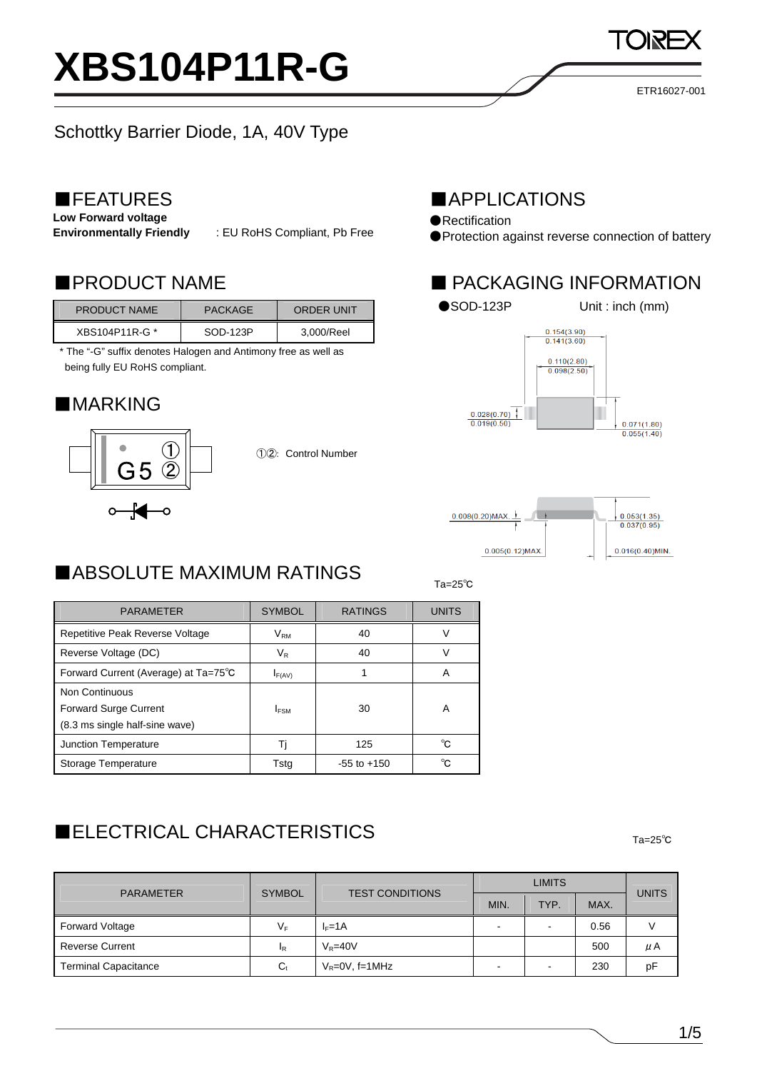# **XBS104P11R-G**

## Schottky Barrier Diode, 1A, 40V Type

### ■FEATURES

**Low Forward voltage** 

**Environmentally Friendly** : EU RoHS Compliant, Pb Free

| <b>PRODUCT NAME</b> | <b>PACKAGE</b> | ORDER UNIT |
|---------------------|----------------|------------|
| XBS104P11R-G *      | SOD-123P       | 3,000/Reel |

\* The "-G" suffix denotes Halogen and Antimony free as well as being fully EU RoHS compliant.

### ■MARKING



①②: Control Number

### ■APPLICATIONS

- ●Rectification
- ●Protection against reverse connection of battery

### ■PRODUCT NAME ■ PACKAGING INFORMATION





### $T_a=25^\circ$ Ta=25 $^{\circ}$ C ■ABSOLUTE MAXIMUM RATINGS

| <b>PARAMETER</b>                     | <b>SYMBOL</b> | <b>RATINGS</b>  | <b>UNITS</b> |
|--------------------------------------|---------------|-----------------|--------------|
| Repetitive Peak Reverse Voltage      | $V_{\sf RM}$  | 40              | V            |
| Reverse Voltage (DC)                 | $V_{R}$       | 40              | V            |
| Forward Current (Average) at Ta=75°C | $I_{F(AV)}$   |                 | A            |
| Non Continuous                       |               |                 |              |
| <b>Forward Surge Current</b>         | <b>IFSM</b>   | 30              | A            |
| (8.3 ms single half-sine wave)       |               |                 |              |
| <b>Junction Temperature</b>          | Ti            | 125             | °C.          |
| Storage Temperature                  | Tsta          | $-55$ to $+150$ | °C.          |
|                                      |               |                 |              |

# Ta=25℃ ■ELECTRICAL CHARACTERISTICS

| <b>PARAMETER</b>            | <b>SYMBOL</b>  | <b>TEST CONDITIONS</b> | <b>LIMITS</b> |      |      |       |
|-----------------------------|----------------|------------------------|---------------|------|------|-------|
|                             |                |                        | MIN.          | TYP. | MAX. | UNITS |
| Forward Voltage             | VF             | $I_F=1A$               | -             |      | 0.56 |       |
| <b>Reverse Current</b>      | <sup>1</sup> R | $V_R = 40V$            |               |      | 500  | μA    |
| <b>Terminal Capacitance</b> | $C_{t}$        | $V_R = 0V$ , f=1MHz    | -             | -    | 230  | рF    |

ETR16027-001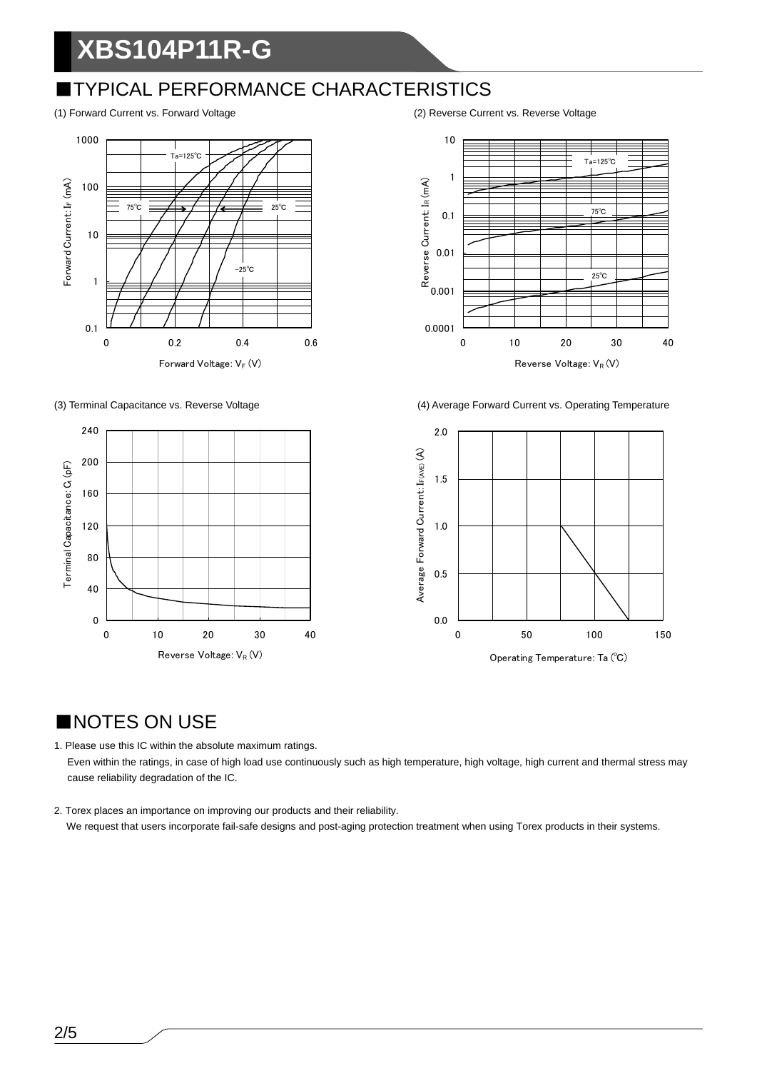# **XBS104P11R-G**

### ■TYPICAL PERFORMANCE CHARACTERISTICS









(3) Terminal Capacitance vs. Reverse Voltage (4) Average Forward Current vs. Operating Temperature



### ■NOTES ON USE

1. Please use this IC within the absolute maximum ratings. Even within the ratings, in case of high load use continuously such as high temperature, high voltage, high current and thermal stress may cause reliability degradation of the IC.

2. Torex places an importance on improving our products and their reliability. We request that users incorporate fail-safe designs and post-aging protection treatment when using Torex products in their systems.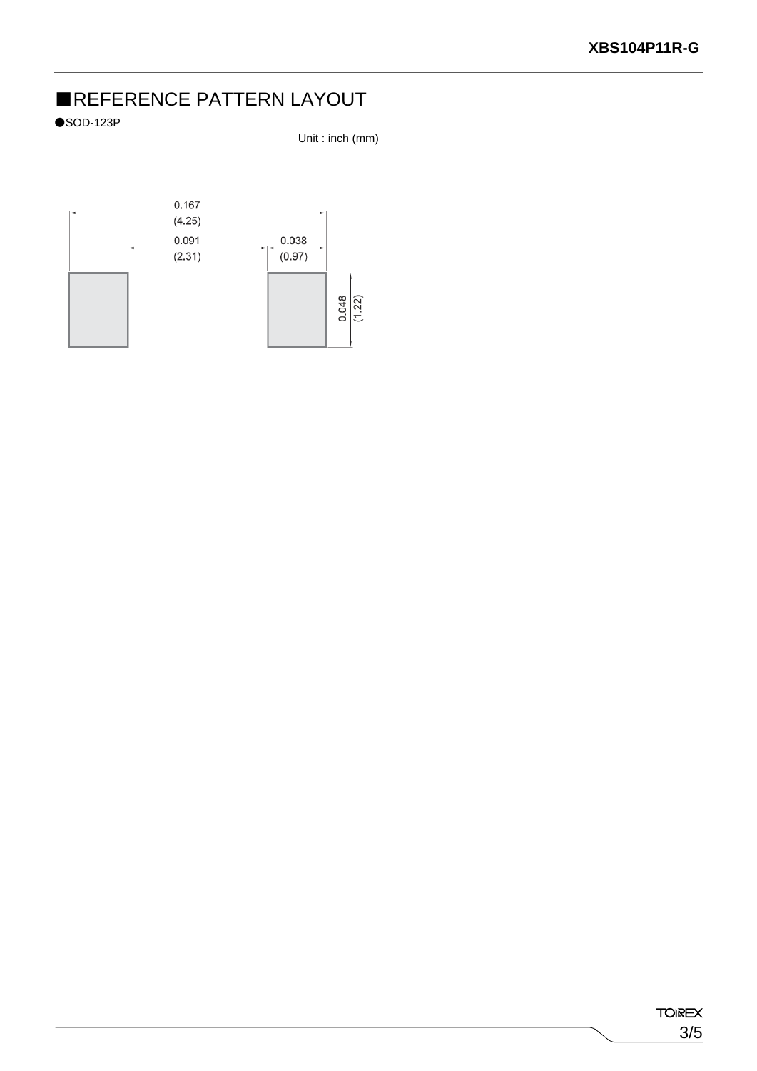### ■REFERENCE PATTERN LAYOUT

 $\bullet$ SOD-123P

Unit : inch (mm)

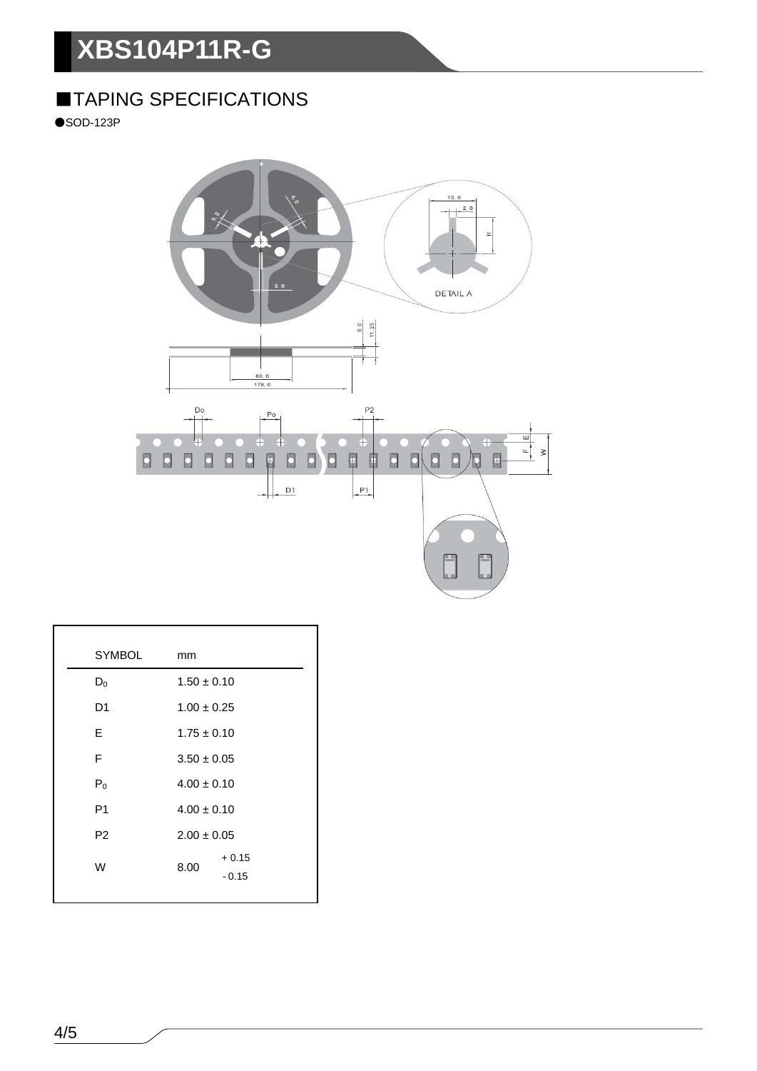# **XBS104P11R-G**

### ■TAPING SPECIFICATIONS

 $\bullet$ SOD-123P



| <b>SYMBOL</b>  | mm                         |
|----------------|----------------------------|
| $D_0$          | $1.50 \pm 0.10$            |
| D <sub>1</sub> | $1.00 \pm 0.25$            |
| E              | $1.75 \pm 0.10$            |
| F              | $3.50 \pm 0.05$            |
| $P_0$          | $4.00 \pm 0.10$            |
| P <sub>1</sub> | $4.00 \pm 0.10$            |
| P <sub>2</sub> | $2.00 \pm 0.05$            |
| W              | $+0.15$<br>8.00<br>$-0.15$ |
|                |                            |